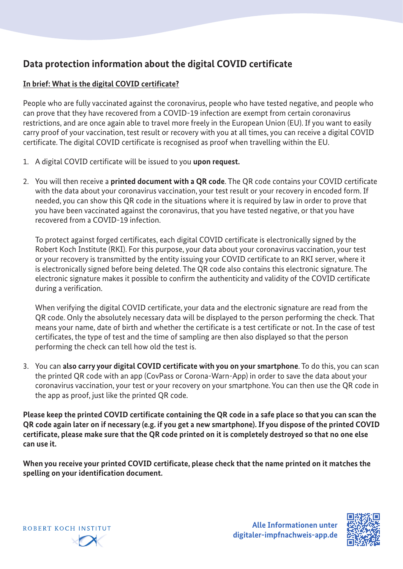# **Data protection information about the digital COVID certificate**

# **In brief: What is the digital COVID certificate?**

People who are fully vaccinated against the coronavirus, people who have tested negative, and people who can prove that they have recovered from a COVID-19 infection are exempt from certain coronavirus restrictions, and are once again able to travel more freely in the European Union (EU). If you want to easily carry proof of your vaccination, test result or recovery with you at all times, you can receive a digital COVID certificate. The digital COVID certificate is recognised as proof when travelling within the EU.

- 1. A digital COVID certificate will be issued to you **upon request.**
- 2. You will then receive a **printed document with a QR code**. The QR code contains your COVID certificate with the data about your coronavirus vaccination, your test result or your recovery in encoded form. If needed, you can show this QR code in the situations where it is required by law in order to prove that you have been vaccinated against the coronavirus, that you have tested negative, or that you have recovered from a COVID-19 infection.

To protect against forged certificates, each digital COVID certificate is electronically signed by the Robert Koch Institute (RKI). For this purpose, your data about your coronavirus vaccination, your test or your recovery is transmitted by the entity issuing your COVID certificate to an RKI server, where it is electronically signed before being deleted. The QR code also contains this electronic signature. The electronic signature makes it possible to confirm the authenticity and validity of the COVID certificate during a verification.

When verifying the digital COVID certificate, your data and the electronic signature are read from the QR code. Only the absolutely necessary data will be displayed to the person performing the check. That means your name, date of birth and whether the certificate is a test certificate or not. In the case of test certificates, the type of test and the time of sampling are then also displayed so that the person performing the check can tell how old the test is.

3. You can **also carry your digital COVID certificate with you on your smartphone**. To do this, you can scan the printed QR code with an app (CovPass or Corona-Warn-App) in order to save the data about your coronavirus vaccination, your test or your recovery on your smartphone. You can then use the QR code in the app as proof, just like the printed QR code.

**Please keep the printed COVID certificate containing the QR code in a safe place so that you can scan the QR code again later on if necessary (e.g. if you get a new smartphone). If you dispose of the printed COVID certificate, please make sure that the QR code printed on it is completely destroyed so that no one else can use it.**

**When you receive your printed COVID certificate, please check that the name printed on it matches the spelling on your identification document.**



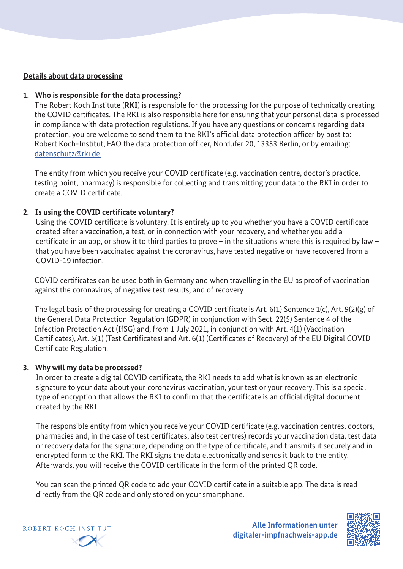## **Details about data processing**

#### **1. Who is responsible for the data processing?**

The Robert Koch Institute (**RKI**) is responsible for the processing for the purpose of technically creating the COVID certificates. The RKI is also responsible here for ensuring that your personal data is processed in compliance with data protection regulations. If you have any questions or concerns regarding data protection, you are welcome to send them to the RKI's official data protection officer by post to: Robert Koch-Institut, FAO the data protection officer, Nordufer 20, 13353 Berlin, or by emailing: datenschutz@rki.de.

The entity from which you receive your COVID certificate (e.g. vaccination centre, doctor's practice, testing point, pharmacy) is responsible for collecting and transmitting your data to the RKI in order to create a COVID certificate.

# **2. Is using the COVID certificate voluntary?**

Using the COVID certificate is voluntary. It is entirely up to you whether you have a COVID certificate created after a vaccination, a test, or in connection with your recovery, and whether you add a certificate in an app, or show it to third parties to prove – in the situations where this is required by law – that you have been vaccinated against the coronavirus, have tested negative or have recovered from a COVID-19 infection.

COVID certificates can be used both in Germany and when travelling in the EU as proof of vaccination against the coronavirus, of negative test results, and of recovery.

The legal basis of the processing for creating a COVID certificate is Art. 6(1) Sentence 1(c), Art. 9(2)(g) of the General Data Protection Regulation (GDPR) in conjunction with Sect. 22(5) Sentence 4 of the Infection Protection Act (IfSG) and, from 1 July 2021, in conjunction with Art. 4(1) (Vaccination Certificates), Art. 5(1) (Test Certificates) and Art. 6(1) (Certificates of Recovery) of the EU Digital COVID Certificate Regulation.

#### **3. Why will my data be processed?**

In order to create a digital COVID certificate, the RKI needs to add what is known as an electronic signature to your data about your coronavirus vaccination, your test or your recovery. This is a special type of encryption that allows the RKI to confirm that the certificate is an official digital document created by the RKI.

The responsible entity from which you receive your COVID certificate (e.g. vaccination centres, doctors, pharmacies and, in the case of test certificates, also test centres) records your vaccination data, test data or recovery data for the signature, depending on the type of certificate, and transmits it securely and in encrypted form to the RKI. The RKI signs the data electronically and sends it back to the entity. Afterwards, you will receive the COVID certificate in the form of the printed QR code.

You can scan the printed QR code to add your COVID certificate in a suitable app. The data is read directly from the QR code and only stored on your smartphone.



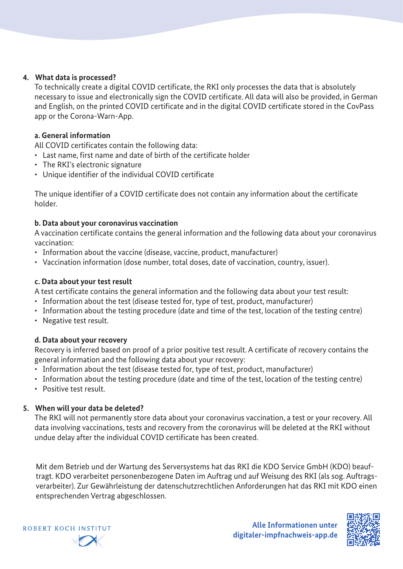## **4. What data is processed?**

To technically create a digital COVID certificate, the RKI only processes the data that is absolutely necessary to issue and electronically sign the COVID certificate. All data will also be provided, in German and English, on the printed COVID certificate and in the digital COVID certificate stored in the CovPass app or the Corona-Warn-App.

#### **a. General information**

All COVID certificates contain the following data:

- Last name, first name and date of birth of the certificate holder
- The RKI's electronic signature
- Unique identifier of the individual COVID certificate

The unique identifier of a COVID certificate does not contain any information about the certificate holder.

## **b. Data about your coronavirus vaccination**

A vaccination certificate contains the general information and the following data about your coronavirus vaccination:

- Information about the vaccine (disease, vaccine, product, manufacturer)
- Vaccination information (dose number, total doses, date of vaccination, country, issuer).

# **c. Data about your test result**

A test certificate contains the general information and the following data about your test result:

- Information about the test (disease tested for, type of test, product, manufacturer)
- Information about the testing procedure (date and time of the test, location of the testing centre)
- Negative test result.

# **d. Data about your recovery**

Recovery is inferred based on proof of a prior positive test result. A certificate of recovery contains the general information and the following data about your recovery:

- Information about the test (disease tested for, type of test, product, manufacturer)
- Information about the testing procedure (date and time of the test, location of the testing centre)
- Positive test result.

# **5. When will your data be deleted?**

The RKI will not permanently store data about your coronavirus vaccination, a test or your recovery. All data involving vaccinations, tests and recovery from the coronavirus will be deleted at the RKI without undue delay after the individual COVID certificate has been created.

Mit dem Betrieb und der Wartung des Serversystems hat das RKI die KDO Service GmbH (KDO) beauftragt. KDO verarbeitet personenbezogene Daten im Auftrag und auf Weisung des RKI (als sog. Auftragsverarbeiter). Zur Gewährleistung der datenschutzrechtlichen Anforderungen hat das RKI mit KDO einen entsprechenden Vertrag abgeschlossen.